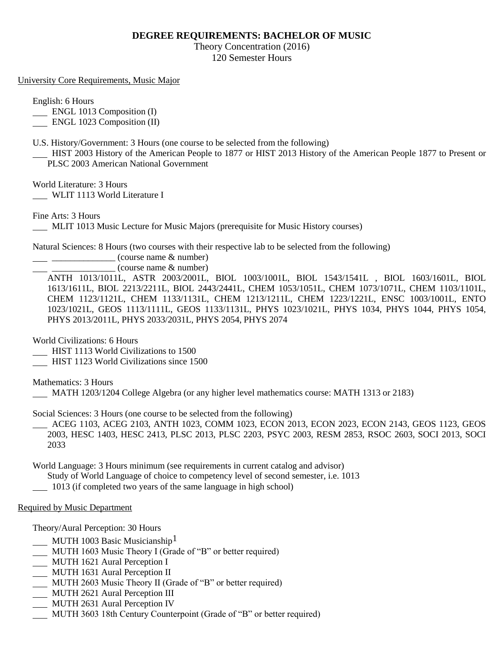## **DEGREE REQUIREMENTS: BACHELOR OF MUSIC**

Theory Concentration (2016) 120 Semester Hours

University Core Requirements, Music Major

English: 6 Hours

**ENGL 1013 Composition (I)** 

ENGL 1023 Composition (II)

U.S. History/Government: 3 Hours (one course to be selected from the following)

 HIST 2003 History of the American People to 1877 or HIST 2013 History of the American People 1877 to Present or PLSC 2003 American National Government

World Literature: 3 Hours

WLIT 1113 World Literature I

Fine Arts: 3 Hours

MLIT 1013 Music Lecture for Music Majors (prerequisite for Music History courses)

Natural Sciences: 8 Hours (two courses with their respective lab to be selected from the following)

 $\frac{1}{2}$   $\frac{1}{2}$   $\frac{1}{2}$   $\frac{1}{2}$   $\frac{1}{2}$   $\frac{1}{2}$   $\frac{1}{2}$   $\frac{1}{2}$   $\frac{1}{2}$   $\frac{1}{2}$   $\frac{1}{2}$   $\frac{1}{2}$   $\frac{1}{2}$   $\frac{1}{2}$   $\frac{1}{2}$   $\frac{1}{2}$   $\frac{1}{2}$   $\frac{1}{2}$   $\frac{1}{2}$   $\frac{1}{2}$   $\frac{1}{2}$   $\frac{1}{2}$ 

 $(course name & number)$ 

ANTH 1013/1011L, ASTR 2003/2001L, BIOL 1003/1001L, BIOL 1543/1541L , BIOL 1603/1601L, BIOL 1613/1611L, BIOL 2213/2211L, BIOL 2443/2441L, CHEM 1053/1051L, CHEM 1073/1071L, CHEM 1103/1101L, CHEM 1123/1121L, CHEM 1133/1131L, CHEM 1213/1211L, CHEM 1223/1221L, ENSC 1003/1001L, ENTO 1023/1021L, GEOS 1113/1111L, GEOS 1133/1131L, PHYS 1023/1021L, PHYS 1034, PHYS 1044, PHYS 1054, PHYS 2013/2011L, PHYS 2033/2031L, PHYS 2054, PHYS 2074

World Civilizations: 6 Hours

HIST 1113 World Civilizations to 1500

HIST 1123 World Civilizations since 1500

Mathematics: 3 Hours

MATH 1203/1204 College Algebra (or any higher level mathematics course: MATH 1313 or 2183)

Social Sciences: 3 Hours (one course to be selected from the following)

 ACEG 1103, ACEG 2103, ANTH 1023, COMM 1023, ECON 2013, ECON 2023, ECON 2143, GEOS 1123, GEOS 2003, HESC 1403, HESC 2413, PLSC 2013, PLSC 2203, PSYC 2003, RESM 2853, RSOC 2603, SOCI 2013, SOCI 2033

World Language: 3 Hours minimum (see requirements in current catalog and advisor)

Study of World Language of choice to competency level of second semester, i.e. 1013

1013 (if completed two years of the same language in high school)

## Required by Music Department

Theory/Aural Perception: 30 Hours

- **MUTH 1003 Basic Musicianship**<sup>1</sup>
- MUTH 1603 Music Theory I (Grade of "B" or better required)
- MUTH 1621 Aural Perception I
- MUTH 1631 Aural Perception II
- MUTH 2603 Music Theory II (Grade of "B" or better required)
- MUTH 2621 Aural Perception III
- MUTH 2631 Aural Perception IV
- MUTH 3603 18th Century Counterpoint (Grade of "B" or better required)